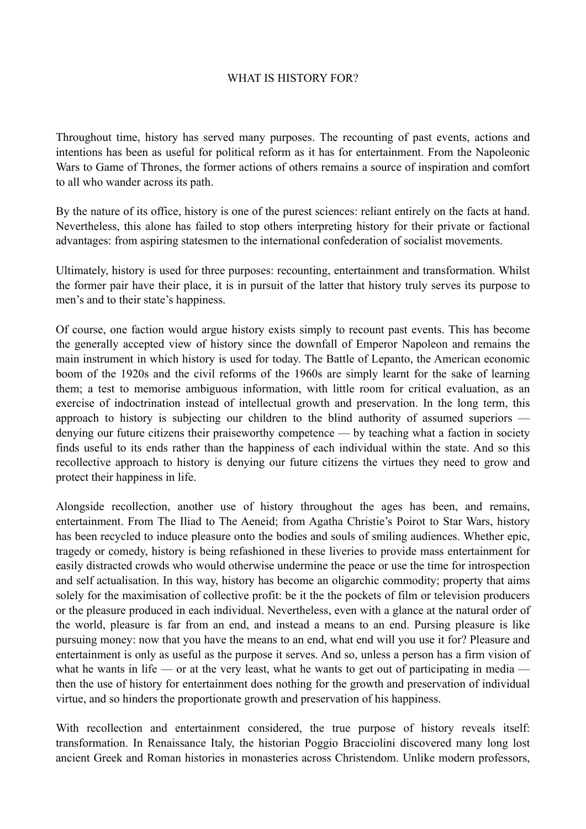## WHAT IS HISTORY FOR?

Throughout time, history has served many purposes. The recounting of past events, actions and intentions has been as useful for political reform as it has for entertainment. From the Napoleonic Wars to Game of Thrones, the former actions of others remains a source of inspiration and comfort to all who wander across its path.

By the nature of its office, history is one of the purest sciences: reliant entirely on the facts at hand. Nevertheless, this alone has failed to stop others interpreting history for their private or factional advantages: from aspiring statesmen to the international confederation of socialist movements.

Ultimately, history is used for three purposes: recounting, entertainment and transformation. Whilst the former pair have their place, it is in pursuit of the latter that history truly serves its purpose to men's and to their state's happiness.

Of course, one faction would argue history exists simply to recount past events. This has become the generally accepted view of history since the downfall of Emperor Napoleon and remains the main instrument in which history is used for today. The Battle of Lepanto, the American economic boom of the 1920s and the civil reforms of the 1960s are simply learnt for the sake of learning them; a test to memorise ambiguous information, with little room for critical evaluation, as an exercise of indoctrination instead of intellectual growth and preservation. In the long term, this approach to history is subjecting our children to the blind authority of assumed superiors denying our future citizens their praiseworthy competence — by teaching what a faction in society finds useful to its ends rather than the happiness of each individual within the state. And so this recollective approach to history is denying our future citizens the virtues they need to grow and protect their happiness in life.

Alongside recollection, another use of history throughout the ages has been, and remains, entertainment. From The Iliad to The Aeneid; from Agatha Christie's Poirot to Star Wars, history has been recycled to induce pleasure onto the bodies and souls of smiling audiences. Whether epic, tragedy or comedy, history is being refashioned in these liveries to provide mass entertainment for easily distracted crowds who would otherwise undermine the peace or use the time for introspection and self actualisation. In this way, history has become an oligarchic commodity; property that aims solely for the maximisation of collective profit: be it the the pockets of film or television producers or the pleasure produced in each individual. Nevertheless, even with a glance at the natural order of the world, pleasure is far from an end, and instead a means to an end. Pursing pleasure is like pursuing money: now that you have the means to an end, what end will you use it for? Pleasure and entertainment is only as useful as the purpose it serves. And so, unless a person has a firm vision of what he wants in life — or at the very least, what he wants to get out of participating in media then the use of history for entertainment does nothing for the growth and preservation of individual virtue, and so hinders the proportionate growth and preservation of his happiness.

With recollection and entertainment considered, the true purpose of history reveals itself: transformation. In Renaissance Italy, the historian Poggio Bracciolini discovered many long lost ancient Greek and Roman histories in monasteries across Christendom. Unlike modern professors,